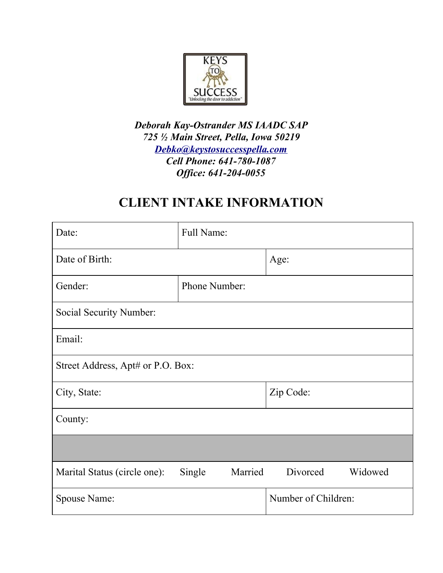

*Deborah Kay-Ostrander MS IAADC SAP 725 ½ Main Street, Pella, Iowa 50219 [Debko@keystosuccesspella.com](mailto:Debko@keystosuccesspella.com) Cell Phone: 641-780-1087 Of ice: 641-204-0055*

# **CLIENT INTAKE INFORMATION**

| Date:                             | Full Name:        |                     |
|-----------------------------------|-------------------|---------------------|
| Date of Birth:                    |                   | Age:                |
| Gender:                           | Phone Number:     |                     |
| Social Security Number:           |                   |                     |
| Email:                            |                   |                     |
| Street Address, Apt# or P.O. Box: |                   |                     |
| City, State:                      |                   | Zip Code:           |
| County:                           |                   |                     |
|                                   |                   |                     |
| Marital Status (circle one):      | Single<br>Married | Divorced<br>Widowed |
| Spouse Name:                      |                   | Number of Children: |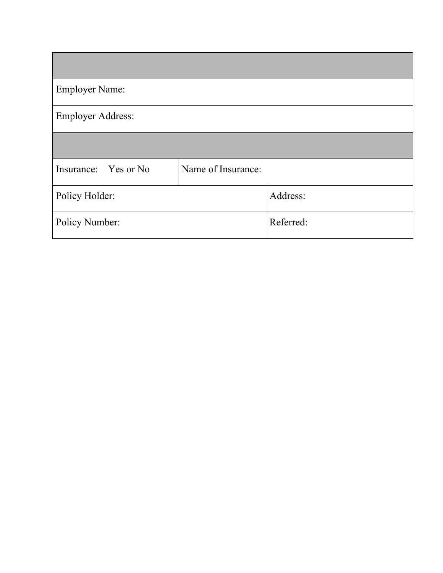| <b>Employer Name:</b>    |                    |           |
|--------------------------|--------------------|-----------|
| <b>Employer Address:</b> |                    |           |
|                          |                    |           |
| Insurance: Yes or No     | Name of Insurance: |           |
| Policy Holder:           |                    | Address:  |
| Policy Number:           |                    | Referred: |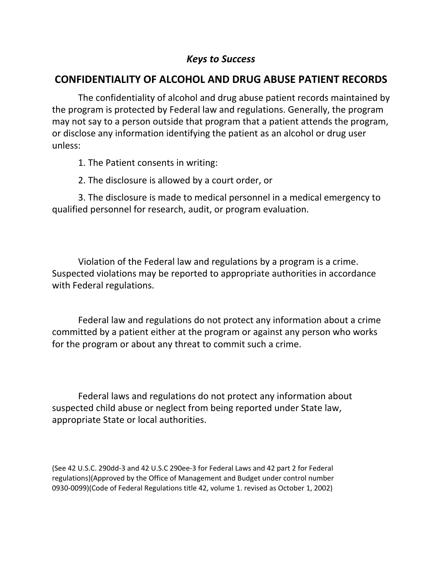## **CONFIDENTIALITY OF ALCOHOL AND DRUG ABUSE PATIENT RECORDS**

The confidentiality of alcohol and drug abuse patient records maintained by the program is protected by Federal law and regulations. Generally, the program may not say to a person outside that program that a patient attends the program, or disclose any information identifying the patient as an alcohol or drug user unless:

- 1. The Patient consents in writing:
- 2. The disclosure is allowed by a court order, or

3. The disclosure is made to medical personnel in a medical emergency to qualified personnel for research, audit, or program evaluation.

Violation of the Federal law and regulations by a program is a crime. Suspected violations may be reported to appropriate authorities in accordance with Federal regulations.

Federal law and regulations do not protect any information about a crime committed by a patient either at the program or against any person who works for the program or about any threat to commit such a crime.

Federal laws and regulations do not protect any information about suspected child abuse or neglect from being reported under State law, appropriate State or local authorities.

(See 42 U.S.C. 290dd-3 and 42 U.S.C 290ee-3 for Federal Laws and 42 part 2 for Federal regulations)(Approved by the Office of Management and Budget under control number 0930-0099)(Code of Federal Regulations title 42, volume 1. revised as October 1, 2002)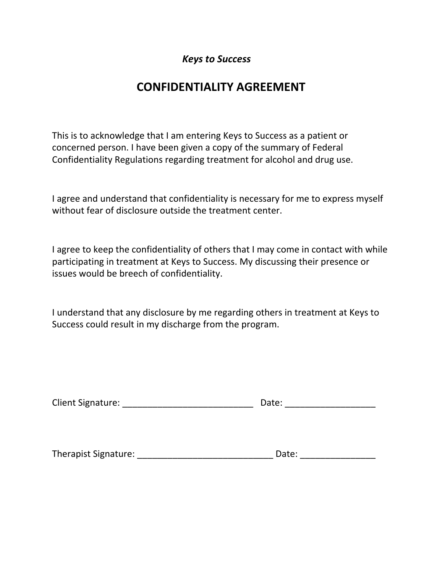# **CONFIDENTIALITY AGREEMENT**

This is to acknowledge that I am entering Keys to Success as a patient or concerned person. I have been given a copy of the summary of Federal Confidentiality Regulations regarding treatment for alcohol and drug use.

I agree and understand that confidentiality is necessary for me to express myself without fear of disclosure outside the treatment center.

I agree to keep the confidentiality of others that I may come in contact with while participating in treatment at Keys to Success. My discussing their presence or issues would be breech of confidentiality.

I understand that any disclosure by me regarding others in treatment at Keys to Success could result in my discharge from the program.

| <b>Client Signature:</b> |  | Date: |
|--------------------------|--|-------|
|--------------------------|--|-------|

Therapist Signature: \_\_\_\_\_\_\_\_\_\_\_\_\_\_\_\_\_\_\_\_\_\_\_\_\_\_\_ Date: \_\_\_\_\_\_\_\_\_\_\_\_\_\_\_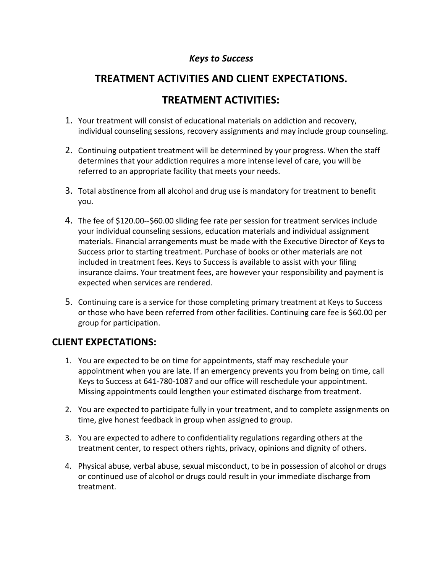# **TREATMENT ACTIVITIES AND CLIENT EXPECTATIONS.**

# **TREATMENT ACTIVITIES:**

- 1. Your treatment will consist of educational materials on addiction and recovery, individual counseling sessions, recovery assignments and may include group counseling.
- 2. Continuing outpatient treatment will be determined by your progress. When the staff determines that your addiction requires a more intense level of care, you will be referred to an appropriate facility that meets your needs.
- 3. Total abstinence from all alcohol and drug use is mandatory for treatment to benefit you.
- 4. The fee of \$120.00--\$60.00 sliding fee rate per session for treatment services include your individual counseling sessions, education materials and individual assignment materials. Financial arrangements must be made with the Executive Director of Keys to Success prior to starting treatment. Purchase of books or other materials are not included in treatment fees. Keys to Success is available to assist with your filing insurance claims. Your treatment fees, are however your responsibility and payment is expected when services are rendered.
- 5. Continuing care is a service for those completing primary treatment at Keys to Success or those who have been referred from other facilities. Continuing care fee is \$60.00 per group for participation.

### **CLIENT EXPECTATIONS:**

- 1. You are expected to be on time for appointments, staff may reschedule your appointment when you are late. If an emergency prevents you from being on time, call Keys to Success at 641-780-1087 and our office will reschedule your appointment. Missing appointments could lengthen your estimated discharge from treatment.
- 2. You are expected to participate fully in your treatment, and to complete assignments on time, give honest feedback in group when assigned to group.
- 3. You are expected to adhere to confidentiality regulations regarding others at the treatment center, to respect others rights, privacy, opinions and dignity of others.
- 4. Physical abuse, verbal abuse, sexual misconduct, to be in possession of alcohol or drugs or continued use of alcohol or drugs could result in your immediate discharge from treatment.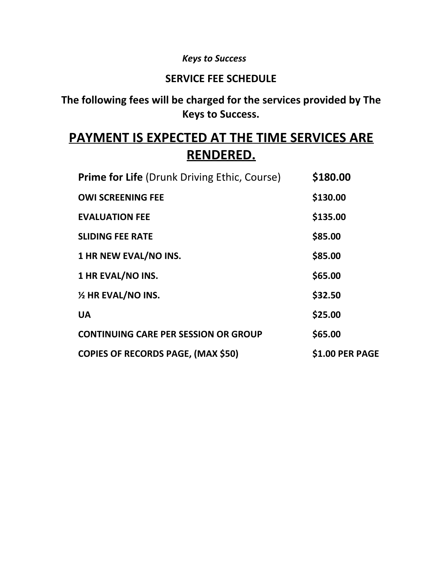# **SERVICE FEE SCHEDULE**

# **The following fees will be charged for the services provided by The Keys to Success.**

# **PAYMENT IS EXPECTED AT THE TIME SERVICES ARE RENDERED.**

| <b>Prime for Life (Drunk Driving Ethic, Course)</b> | \$180.00        |
|-----------------------------------------------------|-----------------|
| <b>OWI SCREENING FEE</b>                            | \$130.00        |
| <b>EVALUATION FEE</b>                               | \$135.00        |
| <b>SLIDING FEE RATE</b>                             | \$85.00         |
| 1 HR NEW EVAL/NO INS.                               | \$85.00         |
| 1 HR EVAL/NO INS.                                   | \$65.00         |
| $\frac{1}{2}$ HR EVAL/NO INS.                       | \$32.50         |
| <b>UA</b>                                           | \$25.00         |
| <b>CONTINUING CARE PER SESSION OR GROUP</b>         | \$65.00         |
| <b>COPIES OF RECORDS PAGE, (MAX \$50)</b>           | \$1.00 PER PAGE |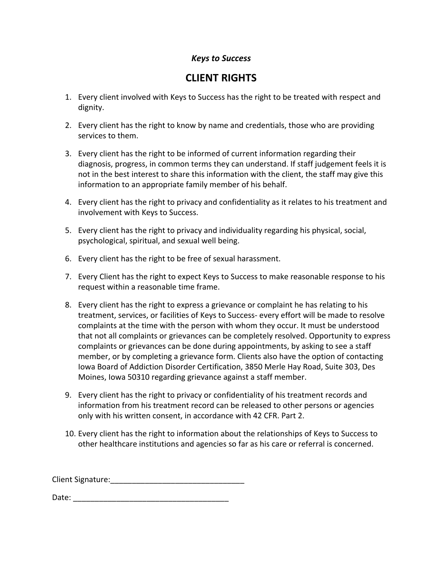## **CLIENT RIGHTS**

- 1. Every client involved with Keys to Success has the right to be treated with respect and dignity.
- 2. Every client has the right to know by name and credentials, those who are providing services to them.
- 3. Every client has the right to be informed of current information regarding their diagnosis, progress, in common terms they can understand. If staff judgement feels it is not in the best interest to share this information with the client, the staff may give this information to an appropriate family member of his behalf.
- 4. Every client has the right to privacy and confidentiality as it relates to his treatment and involvement with Keys to Success.
- 5. Every client has the right to privacy and individuality regarding his physical, social, psychological, spiritual, and sexual well being.
- 6. Every client has the right to be free of sexual harassment.
- 7. Every Client has the right to expect Keys to Success to make reasonable response to his request within a reasonable time frame.
- 8. Every client has the right to express a grievance or complaint he has relating to his treatment, services, or facilities of Keys to Success- every effort will be made to resolve complaints at the time with the person with whom they occur. It must be understood that not all complaints or grievances can be completely resolved. Opportunity to express complaints or grievances can be done during appointments, by asking to see a staff member, or by completing a grievance form. Clients also have the option of contacting Iowa Board of Addiction Disorder Certification, 3850 Merle Hay Road, Suite 303, Des Moines, Iowa 50310 regarding grievance against a staff member.
- 9. Every client has the right to privacy or confidentiality of his treatment records and information from his treatment record can be released to other persons or agencies only with his written consent, in accordance with 42 CFR. Part 2.
- 10. Every client has the right to information about the relationships of Keys to Success to other healthcare institutions and agencies so far as his care or referral is concerned.

Client Signature:\_\_\_\_\_\_\_\_\_\_\_\_\_\_\_\_\_\_\_\_\_\_\_\_\_\_\_\_\_\_\_

Date: \_\_\_\_\_\_\_\_\_\_\_\_\_\_\_\_\_\_\_\_\_\_\_\_\_\_\_\_\_\_\_\_\_\_\_\_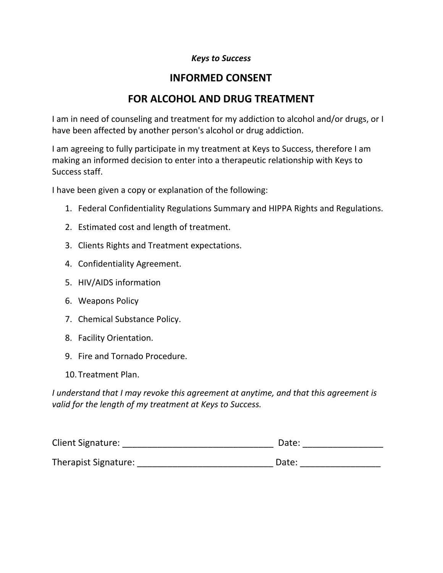# **INFORMED CONSENT**

# **FOR ALCOHOL AND DRUG TREATMENT**

I am in need of counseling and treatment for my addiction to alcohol and/or drugs, or I have been affected by another person's alcohol or drug addiction.

I am agreeing to fully participate in my treatment at Keys to Success, therefore I am making an informed decision to enter into a therapeutic relationship with Keys to Success staff.

I have been given a copy or explanation of the following:

- 1. Federal Confidentiality Regulations Summary and HIPPA Rights and Regulations.
- 2. Estimated cost and length of treatment.
- 3. Clients Rights and Treatment expectations.
- 4. Confidentiality Agreement.
- 5. HIV/AIDS information
- 6. Weapons Policy
- 7. Chemical Substance Policy.
- 8. Facility Orientation.
- 9. Fire and Tornado Procedure.
- 10.Treatment Plan.

*I understand that I may revoke this agreement at anytime, and that this agreement is valid for the length of my treatment at Keys to Success.*

| <b>Client Signature:</b>    | Date: |
|-----------------------------|-------|
|                             |       |
| <b>Therapist Signature:</b> | Date: |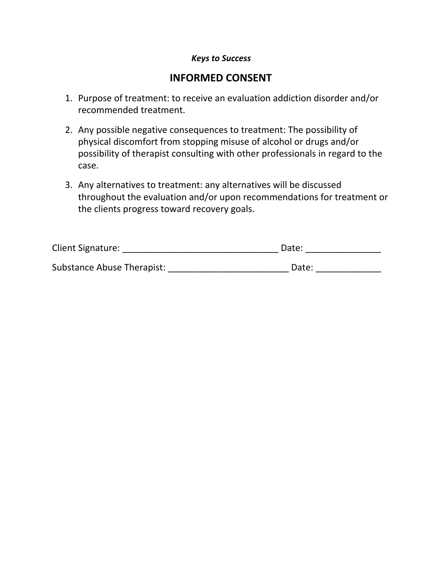## **INFORMED CONSENT**

- 1. Purpose of treatment: to receive an evaluation addiction disorder and/or recommended treatment.
- 2. Any possible negative consequences to treatment: The possibility of physical discomfort from stopping misuse of alcohol or drugs and/or possibility of therapist consulting with other professionals in regard to the case.
- 3. Any alternatives to treatment: any alternatives will be discussed throughout the evaluation and/or upon recommendations for treatment or the clients progress toward recovery goals.

| <b>Client Signature:</b>   | Date: |
|----------------------------|-------|
| Substance Abuse Therapist: | Date: |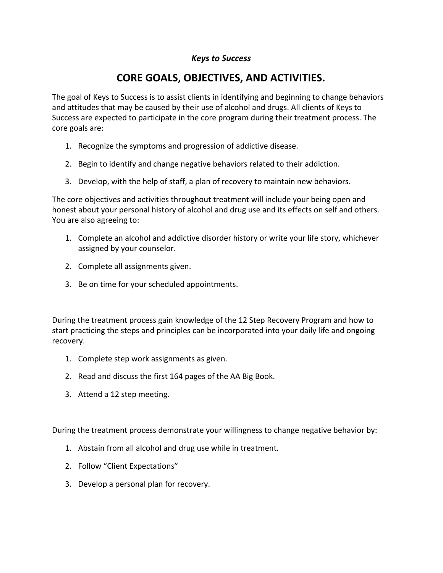# **CORE GOALS, OBJECTIVES, AND ACTIVITIES.**

The goal of Keys to Success is to assist clients in identifying and beginning to change behaviors and attitudes that may be caused by their use of alcohol and drugs. All clients of Keys to Success are expected to participate in the core program during their treatment process. The core goals are:

- 1. Recognize the symptoms and progression of addictive disease.
- 2. Begin to identify and change negative behaviors related to their addiction.
- 3. Develop, with the help of staff, a plan of recovery to maintain new behaviors.

The core objectives and activities throughout treatment will include your being open and honest about your personal history of alcohol and drug use and its effects on self and others. You are also agreeing to:

- 1. Complete an alcohol and addictive disorder history or write your life story, whichever assigned by your counselor.
- 2. Complete all assignments given.
- 3. Be on time for your scheduled appointments.

During the treatment process gain knowledge of the 12 Step Recovery Program and how to start practicing the steps and principles can be incorporated into your daily life and ongoing recovery.

- 1. Complete step work assignments as given.
- 2. Read and discuss the first 164 pages of the AA Big Book.
- 3. Attend a 12 step meeting.

During the treatment process demonstrate your willingness to change negative behavior by:

- 1. Abstain from all alcohol and drug use while in treatment.
- 2. Follow "Client Expectations"
- 3. Develop a personal plan for recovery.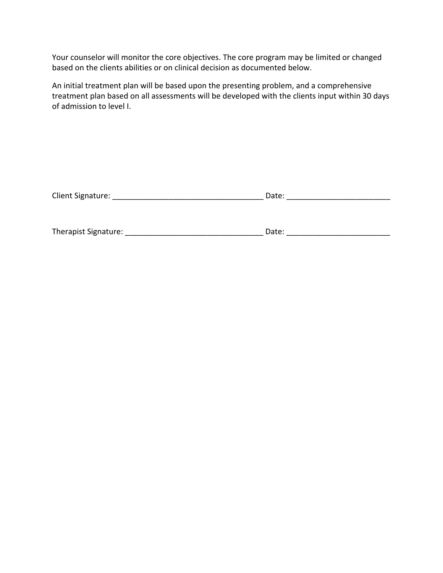Your counselor will monitor the core objectives. The core program may be limited or changed based on the clients abilities or on clinical decision as documented below.

An initial treatment plan will be based upon the presenting problem, and a comprehensive treatment plan based on all assessments will be developed with the clients input within 30 days of admission to level I.

| Client Signature:    | Date: |  |
|----------------------|-------|--|
|                      |       |  |
|                      |       |  |
| Therapist Signature: | Date: |  |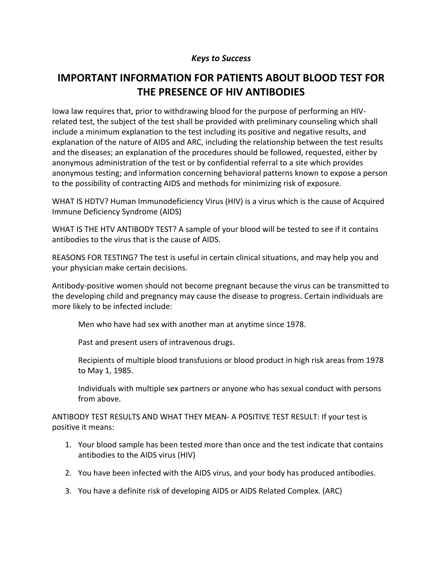# **IMPORTANT INFORMATION FOR PATIENTS ABOUT BLOOD TEST FOR THE PRESENCE OF HIV ANTIBODIES**

Iowa law requires that, prior to withdrawing blood for the purpose of performing an HIVrelated test, the subject of the test shall be provided with preliminary counseling which shall include a minimum explanation to the test including its positive and negative results, and explanation of the nature of AIDS and ARC, including the relationship between the test results and the diseases; an explanation of the procedures should be followed, requested, either by anonymous administration of the test or by confidential referral to a site which provides anonymous testing; and information concerning behavioral patterns known to expose a person to the possibility of contracting AIDS and methods for minimizing risk of exposure.

WHAT IS HDTV? Human Immunodeficiency Virus (HIV) is a virus which is the cause of Acquired Immune Deficiency Syndrome (AIDS)

WHAT IS THE HTV ANTIBODY TEST? A sample of your blood will be tested to see if it contains antibodies to the virus that is the cause of AIDS.

REASONS FOR TESTING? The test is useful in certain clinical situations, and may help you and your physician make certain decisions.

Antibody-positive women should not become pregnant because the virus can be transmitted to the developing child and pregnancy may cause the disease to progress. Certain individuals are more likely to be infected include:

Men who have had sex with another man at anytime since 1978.

Past and present users of intravenous drugs.

Recipients of multiple blood transfusions or blood product in high risk areas from 1978 to May 1, 1985.

Individuals with multiple sex partners or anyone who has sexual conduct with persons from above.

ANTIBODY TEST RESULTS AND WHAT THEY MEAN- A POSITIVE TEST RESULT: If your test is positive it means:

- 1. Your blood sample has been tested more than once and the test indicate that contains antibodies to the AIDS virus (HIV)
- 2. You have been infected with the AIDS virus, and your body has produced antibodies.
- 3. You have a definite risk of developing AIDS or AIDS Related Complex. (ARC)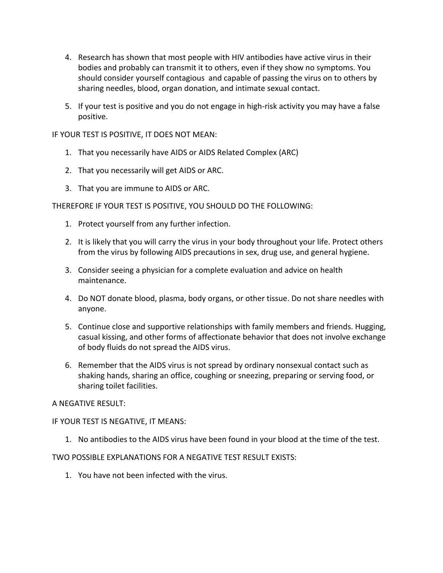- 4. Research has shown that most people with HIV antibodies have active virus in their bodies and probably can transmit it to others, even if they show no symptoms. You should consider yourself contagious and capable of passing the virus on to others by sharing needles, blood, organ donation, and intimate sexual contact.
- 5. If your test is positive and you do not engage in high-risk activity you may have a false positive.

IF YOUR TEST IS POSITIVE, IT DOES NOT MEAN:

- 1. That you necessarily have AIDS or AIDS Related Complex (ARC)
- 2. That you necessarily will get AIDS or ARC.
- 3. That you are immune to AIDS or ARC.

THEREFORE IF YOUR TEST IS POSITIVE, YOU SHOULD DO THE FOLLOWING:

- 1. Protect yourself from any further infection.
- 2. It is likely that you will carry the virus in your body throughout your life. Protect others from the virus by following AIDS precautions in sex, drug use, and general hygiene.
- 3. Consider seeing a physician for a complete evaluation and advice on health maintenance.
- 4. Do NOT donate blood, plasma, body organs, or other tissue. Do not share needles with anyone.
- 5. Continue close and supportive relationships with family members and friends. Hugging, casual kissing, and other forms of affectionate behavior that does not involve exchange of body fluids do not spread the AIDS virus.
- 6. Remember that the AIDS virus is not spread by ordinary nonsexual contact such as shaking hands, sharing an office, coughing or sneezing, preparing or serving food, or sharing toilet facilities.

#### A NEGATIVE RESULT:

#### IF YOUR TEST IS NEGATIVE, IT MEANS:

1. No antibodies to the AIDS virus have been found in your blood at the time of the test.

#### TWO POSSIBLE EXPLANATIONS FOR A NEGATIVE TEST RESULT EXISTS:

1. You have not been infected with the virus.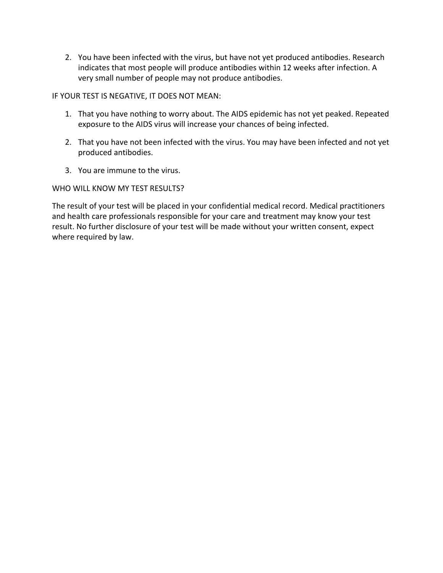2. You have been infected with the virus, but have not yet produced antibodies. Research indicates that most people will produce antibodies within 12 weeks after infection. A very small number of people may not produce antibodies.

IF YOUR TEST IS NEGATIVE, IT DOES NOT MEAN:

- 1. That you have nothing to worry about. The AIDS epidemic has not yet peaked. Repeated exposure to the AIDS virus will increase your chances of being infected.
- 2. That you have not been infected with the virus. You may have been infected and not yet produced antibodies.
- 3. You are immune to the virus.

WHO WILL KNOW MY TEST RESULTS?

The result of your test will be placed in your confidential medical record. Medical practitioners and health care professionals responsible for your care and treatment may know your test result. No further disclosure of your test will be made without your written consent, expect where required by law.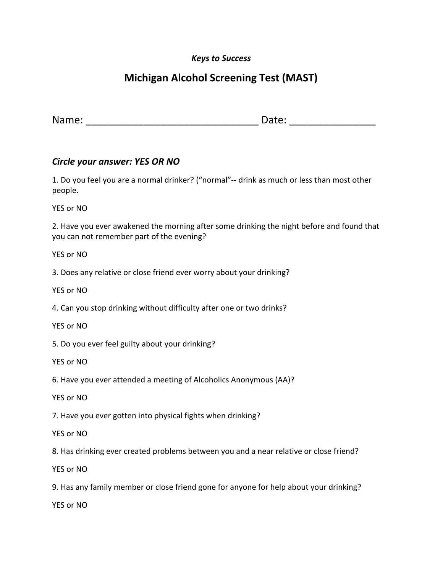# **Michigan Alcohol Screening Test (MAST)**

Name: \_\_\_\_\_\_\_\_\_\_\_\_\_\_\_\_\_\_\_\_\_\_\_\_\_\_\_\_\_\_ Date: \_\_\_\_\_\_\_\_\_\_\_\_\_\_\_

#### *Circle your answer: YES OR NO*

1. Do you feel you are a normal drinker? ("normal"-- drink as much or less than most other people.

YES or NO

2. Have you ever awakened the morning after some drinking the night before and found that you can not remember part of the evening?

YES or NO

3. Does any relative or close friend ever worry about your drinking?

YES or NO

4. Can you stop drinking without difficulty after one or two drinks?

YES or NO

5. Do you ever feel guilty about your drinking?

YES or NO

6. Have you ever attended a meeting of Alcoholics Anonymous (AA)?

YES or NO

7. Have you ever gotten into physical fights when drinking?

YES or NO

8. Has drinking ever created problems between you and a near relative or close friend?

YES or NO

9. Has any family member or close friend gone for anyone for help about your drinking?

YES or NO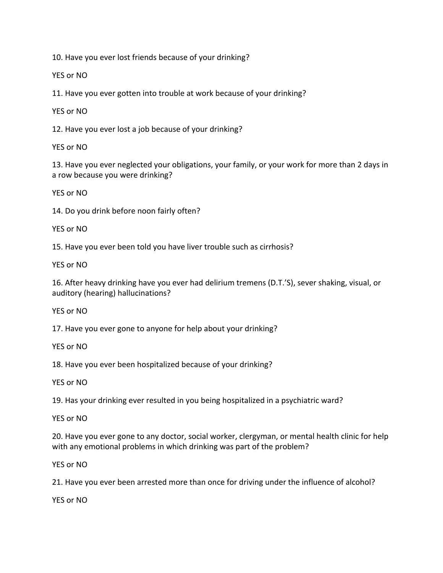10. Have you ever lost friends because of your drinking?

YES or NO

11. Have you ever gotten into trouble at work because of your drinking?

YES or NO

12. Have you ever lost a job because of your drinking?

YES or NO

13. Have you ever neglected your obligations, your family, or your work for more than 2 days in a row because you were drinking?

YES or NO

14. Do you drink before noon fairly often?

YES or NO

15. Have you ever been told you have liver trouble such as cirrhosis?

YES or NO

16. After heavy drinking have you ever had delirium tremens (D.T.'S), sever shaking, visual, or auditory (hearing) hallucinations?

YES or NO

17. Have you ever gone to anyone for help about your drinking?

YES or NO

18. Have you ever been hospitalized because of your drinking?

YES or NO

19. Has your drinking ever resulted in you being hospitalized in a psychiatric ward?

YES or NO

20. Have you ever gone to any doctor, social worker, clergyman, or mental health clinic for help with any emotional problems in which drinking was part of the problem?

YES or NO

21. Have you ever been arrested more than once for driving under the influence of alcohol?

YES or NO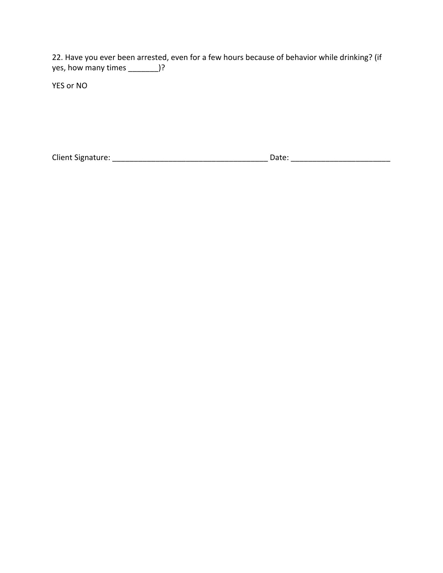22. Have you ever been arrested, even for a few hours because of behavior while drinking? (if yes, how many times \_\_\_\_\_\_\_)?

YES or NO

Client Signature: \_\_\_\_\_\_\_\_\_\_\_\_\_\_\_\_\_\_\_\_\_\_\_\_\_\_\_\_\_\_\_\_\_\_\_\_ Date: \_\_\_\_\_\_\_\_\_\_\_\_\_\_\_\_\_\_\_\_\_\_\_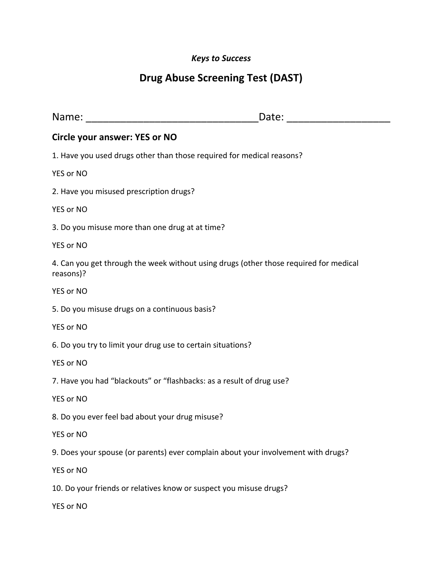# **Drug Abuse Screening Test (DAST)**

|                                                                                                    | Date: ________________ |
|----------------------------------------------------------------------------------------------------|------------------------|
| <b>Circle your answer: YES or NO</b>                                                               |                        |
| 1. Have you used drugs other than those required for medical reasons?                              |                        |
| YES or NO                                                                                          |                        |
| 2. Have you misused prescription drugs?                                                            |                        |
| YES or NO                                                                                          |                        |
| 3. Do you misuse more than one drug at at time?                                                    |                        |
| YES or NO                                                                                          |                        |
| 4. Can you get through the week without using drugs (other those required for medical<br>reasons)? |                        |
| YES or NO                                                                                          |                        |
| 5. Do you misuse drugs on a continuous basis?                                                      |                        |
| YES or NO                                                                                          |                        |
| 6. Do you try to limit your drug use to certain situations?                                        |                        |
| YES or NO                                                                                          |                        |
| 7. Have you had "blackouts" or "flashbacks: as a result of drug use?                               |                        |
| YES or NO                                                                                          |                        |
| 8. Do you ever feel bad about your drug misuse?                                                    |                        |
| YES or NO                                                                                          |                        |
| 9. Does your spouse (or parents) ever complain about your involvement with drugs?                  |                        |
| YES or NO                                                                                          |                        |
| 10. Do your friends or relatives know or suspect you misuse drugs?                                 |                        |
| YES or NO                                                                                          |                        |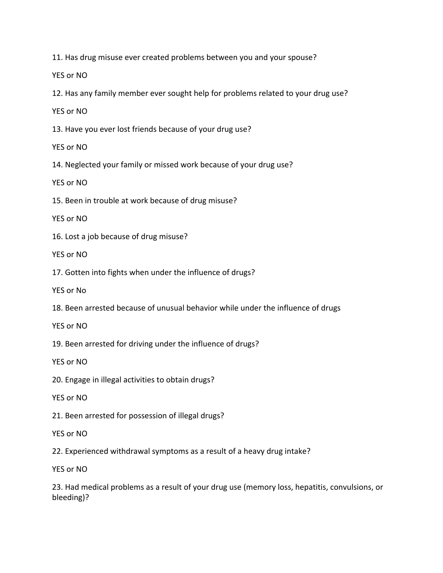11. Has drug misuse ever created problems between you and your spouse?

YES or NO

12. Has any family member ever sought help for problems related to your drug use?

YES or NO

13. Have you ever lost friends because of your drug use?

YES or NO

14. Neglected your family or missed work because of your drug use?

YES or NO

15. Been in trouble at work because of drug misuse?

YES or NO

16. Lost a job because of drug misuse?

YES or NO

17. Gotten into fights when under the influence of drugs?

YES or No

18. Been arrested because of unusual behavior while under the influence of drugs

YES or NO

19. Been arrested for driving under the influence of drugs?

YES or NO

20. Engage in illegal activities to obtain drugs?

YES or NO

21. Been arrested for possession of illegal drugs?

YES or NO

22. Experienced withdrawal symptoms as a result of a heavy drug intake?

YES or NO

23. Had medical problems as a result of your drug use (memory loss, hepatitis, convulsions, or bleeding)?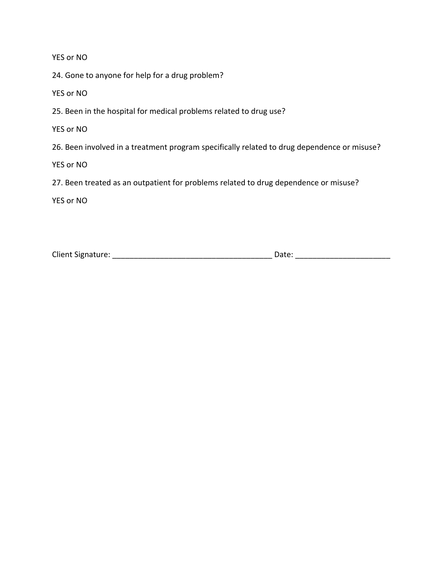YES or NO

24. Gone to anyone for help for a drug problem?

YES or NO

25. Been in the hospital for medical problems related to drug use?

YES or NO

26. Been involved in a treatment program specifically related to drug dependence or misuse?

YES or NO

27. Been treated as an outpatient for problems related to drug dependence or misuse?

YES or NO

Client Signature: \_\_\_\_\_\_\_\_\_\_\_\_\_\_\_\_\_\_\_\_\_\_\_\_\_\_\_\_\_\_\_\_\_\_\_\_\_ Date: \_\_\_\_\_\_\_\_\_\_\_\_\_\_\_\_\_\_\_\_\_\_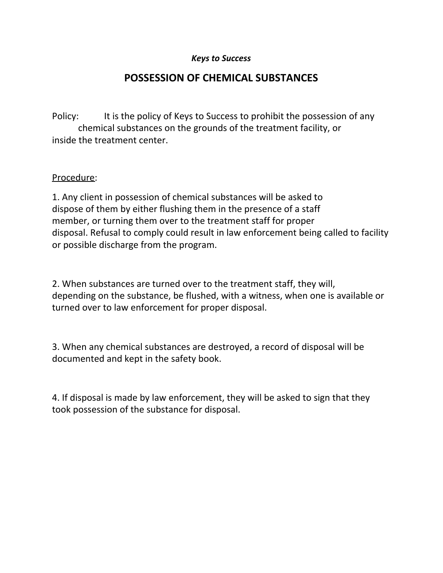## **POSSESSION OF CHEMICAL SUBSTANCES**

Policy: It is the policy of Keys to Success to prohibit the possession of any chemical substances on the grounds of the treatment facility, or inside the treatment center.

#### Procedure:

1. Any client in possession of chemical substances will be asked to dispose of them by either flushing them in the presence of a staff member, or turning them over to the treatment staff for proper disposal. Refusal to comply could result in law enforcement being called to facility or possible discharge from the program.

2. When substances are turned over to the treatment staff, they will, depending on the substance, be flushed, with a witness, when one is available or turned over to law enforcement for proper disposal.

3. When any chemical substances are destroyed, a record of disposal will be documented and kept in the safety book.

4. If disposal is made by law enforcement, they will be asked to sign that they took possession of the substance for disposal.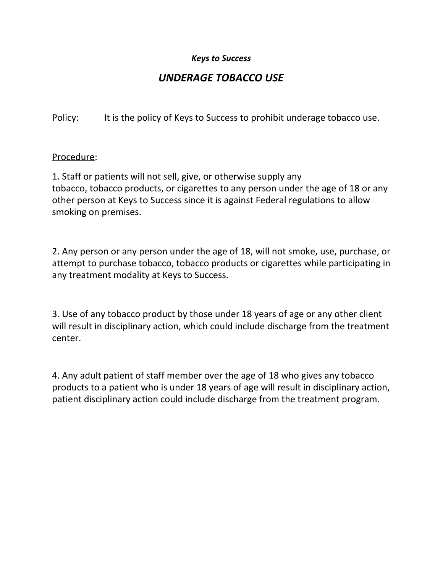# *UNDERAGE TOBACCO USE*

Policy: It is the policy of Keys to Success to prohibit underage tobacco use.

#### Procedure:

1. Staff or patients will not sell, give, or otherwise supply any tobacco, tobacco products, or cigarettes to any person under the age of 18 or any other person at Keys to Success since it is against Federal regulations to allow smoking on premises.

2. Any person or any person under the age of 18, will not smoke, use, purchase, or attempt to purchase tobacco, tobacco products or cigarettes while participating in any treatment modality at Keys to Success.

3. Use of any tobacco product by those under 18 years of age or any other client will result in disciplinary action, which could include discharge from the treatment center.

4. Any adult patient of staff member over the age of 18 who gives any tobacco products to a patient who is under 18 years of age will result in disciplinary action, patient disciplinary action could include discharge from the treatment program.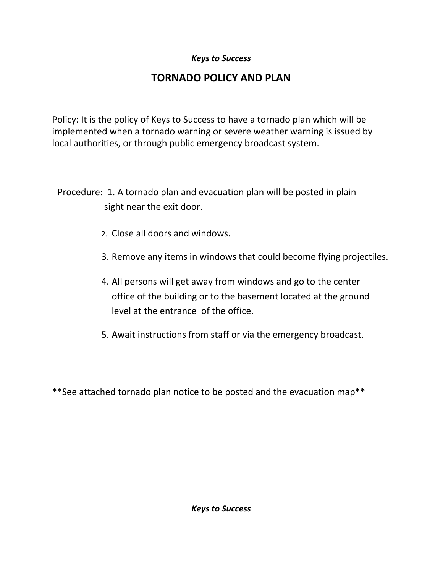# **TORNADO POLICY AND PLAN**

Policy: It is the policy of Keys to Success to have a tornado plan which will be implemented when a tornado warning or severe weather warning is issued by local authorities, or through public emergency broadcast system.

Procedure: 1. A tornado plan and evacuation plan will be posted in plain sight near the exit door.

- 2. Close all doors and windows.
- 3. Remove any items in windows that could become flying projectiles.
- 4. All persons will get away from windows and go to the center office of the building or to the basement located at the ground level at the entrance of the office.
- 5. Await instructions from staff or via the emergency broadcast.

\*\*See attached tornado plan notice to be posted and the evacuation map\*\*